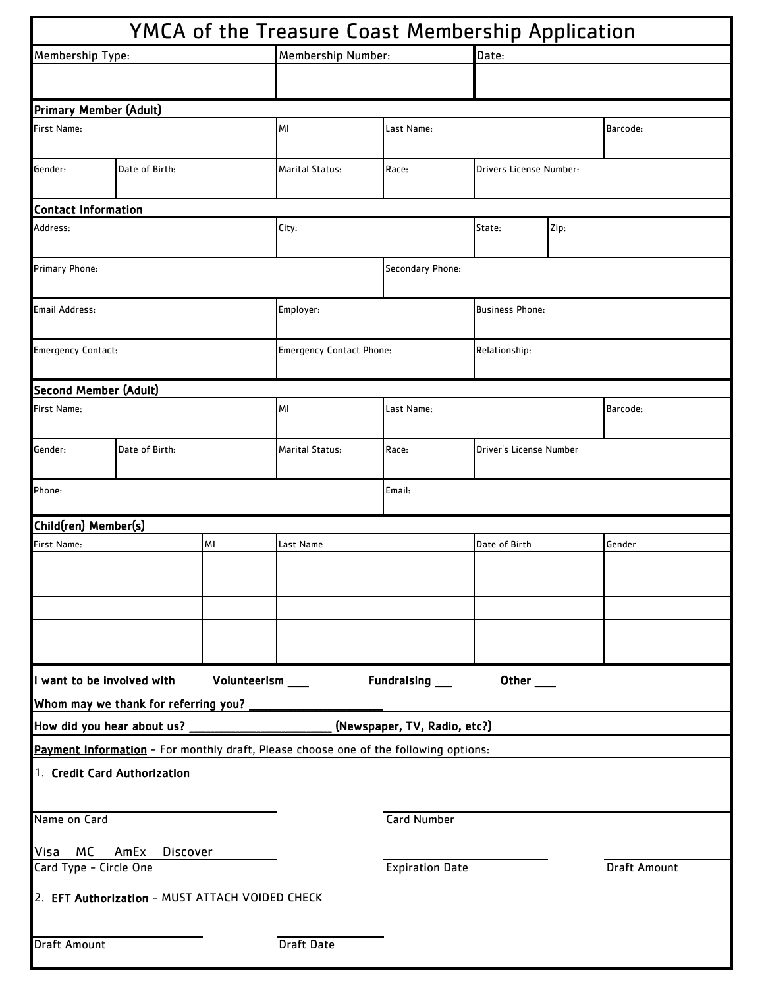|                                                                 |                                                 |              | YMCA of the Treasure Coast Membership Application                                    |                              |                         |      |              |  |
|-----------------------------------------------------------------|-------------------------------------------------|--------------|--------------------------------------------------------------------------------------|------------------------------|-------------------------|------|--------------|--|
| Membership Type:                                                |                                                 |              | Membership Number:                                                                   |                              | Date:                   |      |              |  |
|                                                                 |                                                 |              |                                                                                      |                              |                         |      |              |  |
| <b>Primary Member (Adult)</b>                                   |                                                 |              |                                                                                      |                              |                         |      |              |  |
| First Name:                                                     |                                                 |              | MI                                                                                   | Last Name:                   |                         |      | Barcode:     |  |
| Gender:                                                         | Date of Birth:                                  |              | <b>Marital Status:</b>                                                               | Race:                        | Drivers License Number: |      |              |  |
| <b>Contact Information</b>                                      |                                                 |              |                                                                                      |                              |                         |      |              |  |
| Address:                                                        |                                                 |              | City:                                                                                |                              | State:                  | Zip: |              |  |
| Primary Phone:                                                  |                                                 |              |                                                                                      | Secondary Phone:             |                         |      |              |  |
| Email Address:                                                  |                                                 |              | Employer:                                                                            |                              | <b>Business Phone:</b>  |      |              |  |
| <b>Emergency Contact:</b>                                       |                                                 |              | <b>Emergency Contact Phone:</b>                                                      |                              | Relationship:           |      |              |  |
| <b>Second Member (Adult)</b>                                    |                                                 |              |                                                                                      |                              |                         |      |              |  |
| First Name:                                                     |                                                 |              | МI                                                                                   | Last Name:                   |                         |      | Barcode:     |  |
| Gender:                                                         | Date of Birth:                                  |              |                                                                                      | Race:                        | Driver's License Number |      |              |  |
| Phone:                                                          |                                                 |              |                                                                                      | Email:                       |                         |      |              |  |
| Child(ren) Member(s)                                            |                                                 |              |                                                                                      |                              |                         |      |              |  |
| <b>First Name:</b>                                              |                                                 | MI           | Last Name                                                                            |                              | Date of Birth           |      | Gender       |  |
|                                                                 |                                                 |              |                                                                                      |                              |                         |      |              |  |
|                                                                 |                                                 |              |                                                                                      |                              |                         |      |              |  |
|                                                                 |                                                 |              |                                                                                      |                              |                         |      |              |  |
|                                                                 |                                                 |              |                                                                                      |                              |                         |      |              |  |
| want to be involved with                                        |                                                 | Volunteerism |                                                                                      | <b>Fundraising</b>           | Other                   |      |              |  |
|                                                                 | Whom may we thank for referring you?            |              |                                                                                      |                              |                         |      |              |  |
| How did you hear about us?                                      |                                                 |              |                                                                                      | (Newspaper, TV, Radio, etc?) |                         |      |              |  |
|                                                                 |                                                 |              | Payment Information - For monthly draft, Please choose one of the following options: |                              |                         |      |              |  |
|                                                                 | 1. Credit Card Authorization                    |              |                                                                                      |                              |                         |      |              |  |
| Name on Card                                                    |                                                 |              |                                                                                      | <b>Card Number</b>           |                         |      |              |  |
| МC<br>Visa<br>AmEx<br><b>Discover</b><br>Card Type - Circle One |                                                 |              |                                                                                      | <b>Expiration Date</b>       |                         |      | Draft Amount |  |
|                                                                 | 2. EFT Authorization - MUST ATTACH VOIDED CHECK |              |                                                                                      |                              |                         |      |              |  |
| <b>Draft Amount</b>                                             |                                                 |              | Draft Date                                                                           |                              |                         |      |              |  |